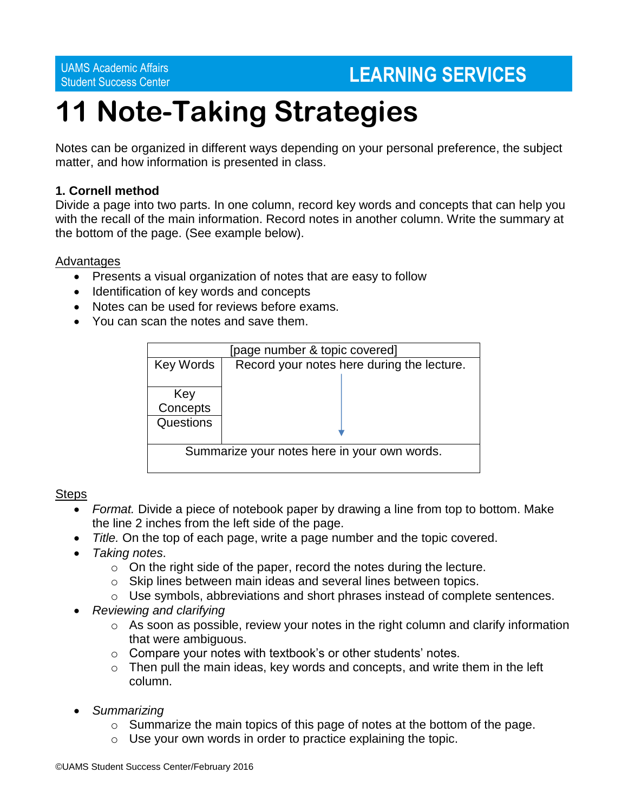UAMS Academic Affairs

# Student Success Center **LEARNING SERVICES**

# **11 Note-Taking Strategies**

Notes can be organized in different ways depending on your personal preference, the subject matter, and how information is presented in class.

# **1. Cornell method**

Divide a page into two parts. In one column, record key words and concepts that can help you with the recall of the main information. Record notes in another column. Write the summary at the bottom of the page. (See example below).

# Advantages

- Presents a visual organization of notes that are easy to follow
- Identification of key words and concepts
- Notes can be used for reviews before exams.
- You can scan the notes and save them.

| [page number & topic covered]                |                                            |  |  |  |
|----------------------------------------------|--------------------------------------------|--|--|--|
| <b>Key Words</b>                             | Record your notes here during the lecture. |  |  |  |
| Key<br>Concepts                              |                                            |  |  |  |
| Questions                                    |                                            |  |  |  |
| Summarize your notes here in your own words. |                                            |  |  |  |

# Steps

- *Format.* Divide a piece of notebook paper by drawing a line from top to bottom. Make the line 2 inches from the left side of the page.
- *Title.* On the top of each page, write a page number and the topic covered.
- *Taking notes*.
	- $\circ$  On the right side of the paper, record the notes during the lecture.
	- o Skip lines between main ideas and several lines between topics.
	- o Use symbols, abbreviations and short phrases instead of complete sentences.
- *Reviewing and clarifying*
	- o As soon as possible, review your notes in the right column and clarify information that were ambiguous.
	- $\circ$  Compare your notes with textbook's or other students' notes.
	- $\circ$  Then pull the main ideas, key words and concepts, and write them in the left column.
- *Summarizing* 
	- $\circ$  Summarize the main topics of this page of notes at the bottom of the page.
	- o Use your own words in order to practice explaining the topic.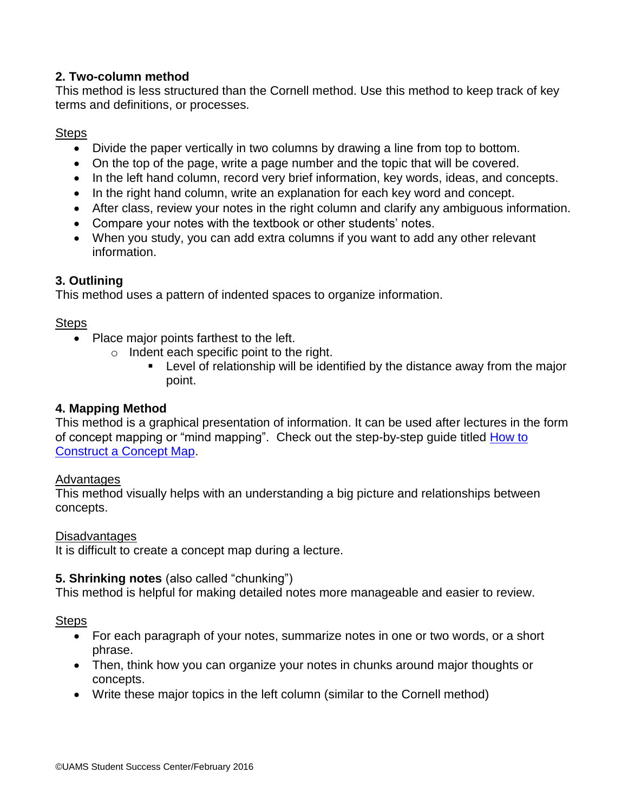# **2. Two-column method**

This method is less structured than the Cornell method. Use this method to keep track of key terms and definitions, or processes.

# Steps

- Divide the paper vertically in two columns by drawing a line from top to bottom.
- On the top of the page, write a page number and the topic that will be covered.
- In the left hand column, record very brief information, key words, ideas, and concepts.
- In the right hand column, write an explanation for each key word and concept.
- After class, review your notes in the right column and clarify any ambiguous information.
- Compare your notes with the textbook or other students' notes.
- When you study, you can add extra columns if you want to add any other relevant information.

# **3. Outlining**

This method uses a pattern of indented spaces to organize information.

# Steps

- Place major points farthest to the left.
	- o Indent each specific point to the right.
		- Level of relationship will be identified by the distance away from the major point.

# **4. Mapping Method**

This method is a graphical presentation of information. It can be used after lectures in the form of concept mapping or "mind mapping". Check out the step-by-step guide titled [How to](http://studentsuccess.uams.edu/wp-content/uploads/2016/07/How-to-Construct-a-Concept-Map.pdf)  [Construct a Concept Map.](http://studentsuccess.uams.edu/wp-content/uploads/2016/07/How-to-Construct-a-Concept-Map.pdf)

# Advantages

This method visually helps with an understanding a big picture and relationships between concepts.

# **Disadvantages**

It is difficult to create a concept map during a lecture.

# **5. Shrinking notes** (also called "chunking")

This method is helpful for making detailed notes more manageable and easier to review.

# **Steps**

- For each paragraph of your notes, summarize notes in one or two words, or a short phrase.
- Then, think how you can organize your notes in chunks around major thoughts or concepts.
- Write these major topics in the left column (similar to the Cornell method)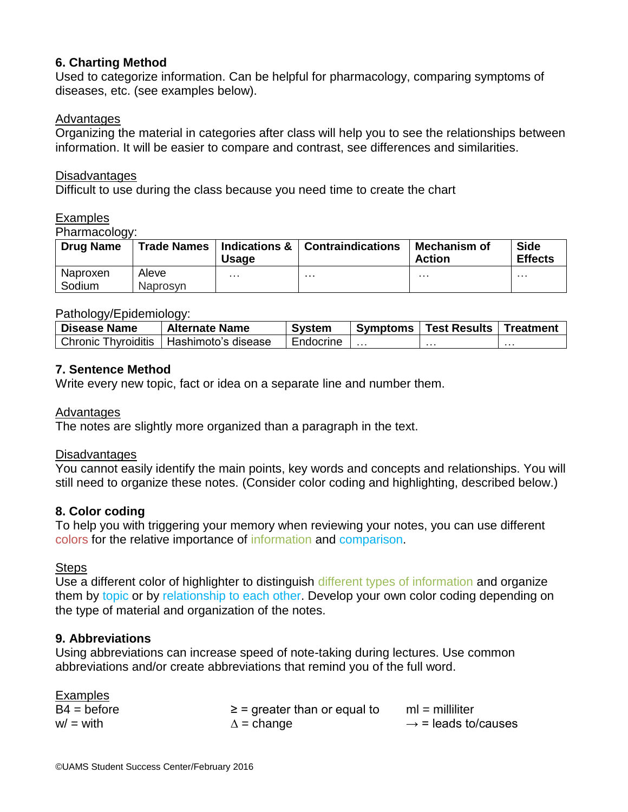# **6. Charting Method**

Used to categorize information. Can be helpful for pharmacology, comparing symptoms of diseases, etc. (see examples below).

# Advantages

Organizing the material in categories after class will help you to see the relationships between information. It will be easier to compare and contrast, see differences and similarities.

#### Disadvantages

Difficult to use during the class because you need time to create the chart

**Examples** 

Pharmacology:

| ັ<br><b>Drug Name</b> |                          | Usage    | Trade Names   Indications &   Contraindications | <b>Mechanism of</b><br><b>Action</b> | <b>Side</b><br><b>Effects</b> |
|-----------------------|--------------------------|----------|-------------------------------------------------|--------------------------------------|-------------------------------|
| Naproxen<br>Sodium    | Aleve<br><b>Naprosyn</b> | $\cdots$ | .                                               | .                                    | $\cdots$                      |

#### Pathology/Epidemiology:

| <b>Disease Name</b> | <b>Alternate Name</b>                     | Svstem    | Symptoms | <b>Test Results</b> | 'Treatment |
|---------------------|-------------------------------------------|-----------|----------|---------------------|------------|
|                     | Chronic Thyroiditis   Hashimoto's disease | Endocrine |          | .                   | .          |

# **7. Sentence Method**

Write every new topic, fact or idea on a separate line and number them.

#### Advantages

The notes are slightly more organized than a paragraph in the text.

#### **Disadvantages**

You cannot easily identify the main points, key words and concepts and relationships. You will still need to organize these notes. (Consider color coding and highlighting, described below.)

#### **8. Color coding**

To help you with triggering your memory when reviewing your notes, you can use different colors for the relative importance of information and comparison.

#### Steps

Use a different color of highlighter to distinguish different types of information and organize them by topic or by relationship to each other. Develop your own color coding depending on the type of material and organization of the notes.

#### **9. Abbreviations**

Using abbreviations can increase speed of note-taking during lectures. Use common abbreviations and/or create abbreviations that remind you of the full word.

| <b>Examples</b> |                                  |                                 |
|-----------------|----------------------------------|---------------------------------|
| $B4 = before$   | $\ge$ = greater than or equal to | $ml = milliliter$               |
| $w/ = with$     | $\Delta$ = change                | $\rightarrow$ = leads to/causes |